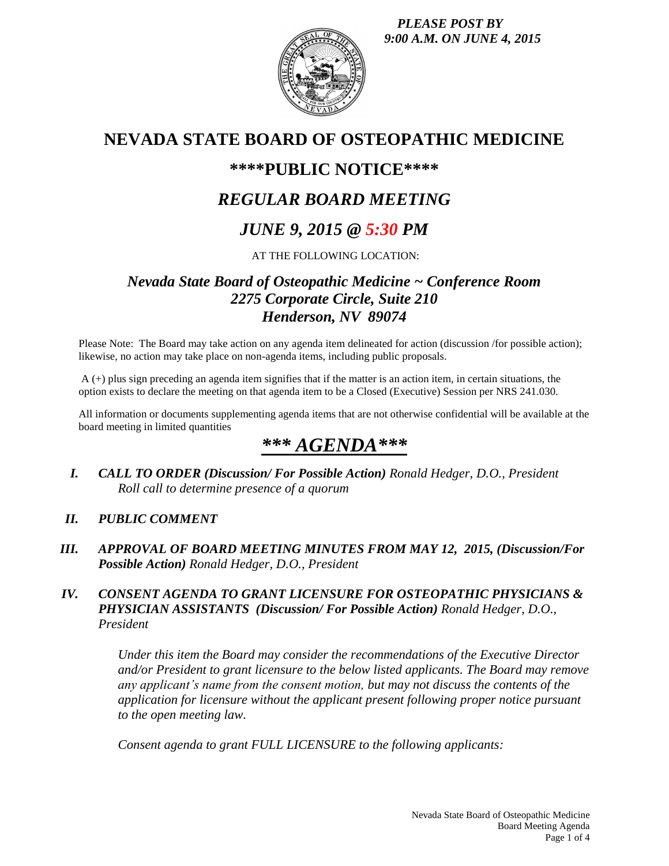*PLEASE POST BY 9:00 A.M. ON JUNE 4, 2015*



# **NEVADA STATE BOARD OF OSTEOPATHIC MEDICINE**

## **\*\*\*\*PUBLIC NOTICE\*\*\*\***

## *REGULAR BOARD MEETING*

## *JUNE 9, 2015 @ 5:30 PM*

### AT THE FOLLOWING LOCATION:

## *Nevada State Board of Osteopathic Medicine ~ Conference Room 2275 Corporate Circle, Suite 210 Henderson, NV 89074*

Please Note: The Board may take action on any agenda item delineated for action (discussion /for possible action); likewise, no action may take place on non-agenda items, including public proposals.

A (+) plus sign preceding an agenda item signifies that if the matter is an action item, in certain situations, the option exists to declare the meeting on that agenda item to be a Closed (Executive) Session per NRS 241.030.

All information or documents supplementing agenda items that are not otherwise confidential will be available at the board meeting in limited quantities

# *\*\*\* AGENDA\*\*\**

*I. CALL TO ORDER (Discussion/ For Possible Action) Ronald Hedger, D.O., President Roll call to determine presence of a quorum*

#### *II. PUBLIC COMMENT*

*III. APPROVAL OF BOARD MEETING MINUTES FROM MAY 12, 2015, (Discussion/For Possible Action) Ronald Hedger, D.O., President*

#### *IV. CONSENT AGENDA TO GRANT LICENSURE FOR OSTEOPATHIC PHYSICIANS & PHYSICIAN ASSISTANTS (Discussion/ For Possible Action) Ronald Hedger, D.O., President*

*Under this item the Board may consider the recommendations of the Executive Director and/or President to grant licensure to the below listed applicants. The Board may remove any applicant's name from the consent motion, but may not discuss the contents of the application for licensure without the applicant present following proper notice pursuant to the open meeting law.* 

*Consent agenda to grant FULL LICENSURE to the following applicants:*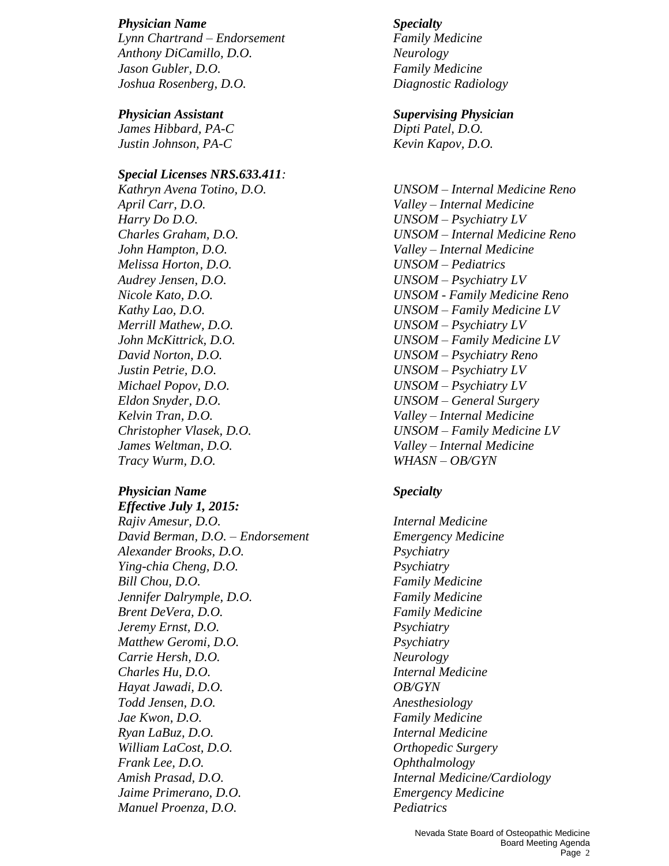#### *Physician Name Specialty*

*Lynn Chartrand – Endorsement Family Medicine Anthony DiCamillo, D.O. Neurology Jason Gubler, D.O. Family Medicine Joshua Rosenberg, D.O. Diagnostic Radiology*

*James Hibbard, PA-C Dipti Patel, D.O. Justin Johnson, PA-C Kevin Kapov, D.O.*

#### *Special Licenses NRS.633.411:*

*April Carr, D.O. Valley – Internal Medicine Harry Do D.O. UNSOM – Psychiatry LV John Hampton, D.O. Valley – Internal Medicine Melissa Horton, D.O. UNSOM – Pediatrics Audrey Jensen, D.O. UNSOM – Psychiatry LV Merrill Mathew, D.O. UNSOM – Psychiatry LV David Norton, D.O. UNSOM – Psychiatry Reno Justin Petrie, D.O. UNSOM – Psychiatry LV Michael Popov, D.O. UNSOM – Psychiatry LV Kelvin Tran, D.O. Valley – Internal Medicine James Weltman, D.O. Valley – Internal Medicine Tracy Wurm, D.O. WHASN – OB/GYN*

#### *Physician Name Specialty*

*Effective July 1, 2015: Rajiv Amesur, D.O. Internal Medicine David Berman, D.O. – Endorsement Emergency Medicine Alexander Brooks, D.O. Psychiatry Ying-chia Cheng, D.O. Psychiatry Bill Chou, D.O. Family Medicine Jennifer Dalrymple, D.O. Family Medicine Brent DeVera, D.O. Family Medicine Jeremy Ernst, D.O. Psychiatry Matthew Geromi, D.O. Psychiatry Carrie Hersh, D.O. Neurology Charles Hu, D.O. Internal Medicine Hayat Jawadi, D.O. OB/GYN Todd Jensen, D.O. Anesthesiology Jae Kwon, D.O. Family Medicine Ryan LaBuz, D.O. Internal Medicine William LaCost, D.O. Orthopedic Surgery Frank Lee, D.O. Ophthalmology Amish Prasad, D.O. Internal Medicine/Cardiology Jaime Primerano, D.O. Emergency Medicine Manuel Proenza, D.O. Pediatrics* 

### *Physician Assistant Supervising Physician*

*Kathryn Avena Totino, D.O. UNSOM – Internal Medicine Reno Charles Graham, D.O. UNSOM – Internal Medicine Reno Nicole Kato, D.O. UNSOM - Family Medicine Reno Kathy Lao, D.O. UNSOM – Family Medicine LV John McKittrick, D.O. UNSOM – Family Medicine LV Eldon Snyder, D.O. UNSOM – General Surgery Christopher Vlasek, D.O. UNSOM – Family Medicine LV*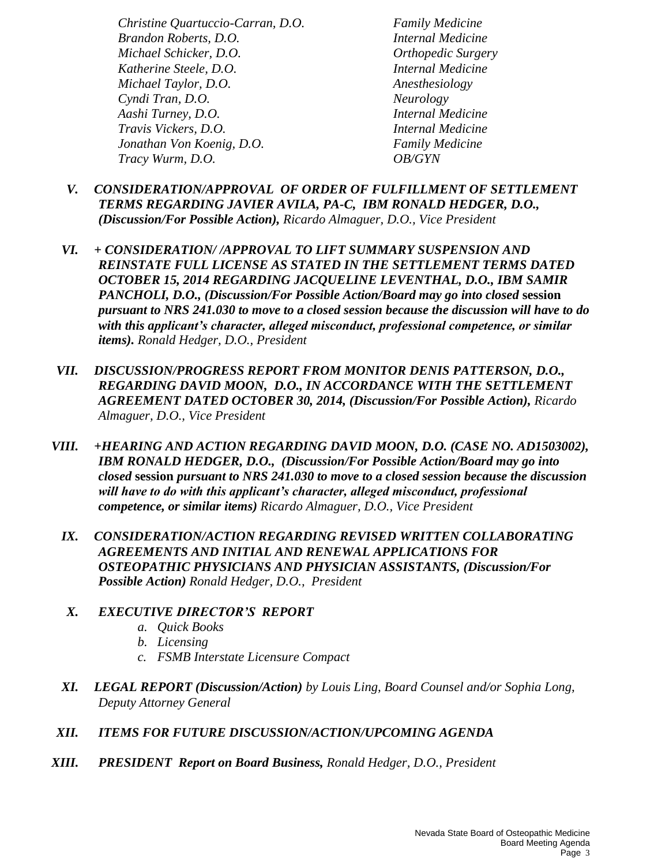*Christine Quartuccio-Carran, D.O. Family Medicine Brandon Roberts, D.O. Internal Medicine Michael Schicker, D.O. Orthopedic Surgery Katherine Steele, D.O. Internal Medicine Michael Taylor, D.O. Anesthesiology Cyndi Tran, D.O. Neurology Aashi Turney, D.O. Internal Medicine Travis Vickers, D.O. Internal Medicine Jonathan Von Koenig, D.O. Family Medicine Tracy Wurm, D.O. OB/GYN*

- *V. CONSIDERATION/APPROVAL OF ORDER OF FULFILLMENT OF SETTLEMENT TERMS REGARDING JAVIER AVILA, PA-C, IBM RONALD HEDGER, D.O., (Discussion/For Possible Action), Ricardo Almaguer, D.O., Vice President*
- *VI. + CONSIDERATION/ /APPROVAL TO LIFT SUMMARY SUSPENSION AND REINSTATE FULL LICENSE AS STATED IN THE SETTLEMENT TERMS DATED OCTOBER 15, 2014 REGARDING JACQUELINE LEVENTHAL, D.O., IBM SAMIR PANCHOLI, D.O., (Discussion/For Possible Action/Board may go into closed* **session** *pursuant to NRS 241.030 to move to a closed session because the discussion will have to do with this applicant's character, alleged misconduct, professional competence, or similar items). Ronald Hedger, D.O., President*
- *VII. DISCUSSION/PROGRESS REPORT FROM MONITOR DENIS PATTERSON, D.O., REGARDING DAVID MOON, D.O., IN ACCORDANCE WITH THE SETTLEMENT AGREEMENT DATED OCTOBER 30, 2014, (Discussion/For Possible Action), Ricardo Almaguer, D.O., Vice President*
- *VIII. +HEARING AND ACTION REGARDING DAVID MOON, D.O. (CASE NO. AD1503002), IBM RONALD HEDGER, D.O., (Discussion/For Possible Action/Board may go into closed* **session** *pursuant to NRS 241.030 to move to a closed session because the discussion*  will have to do with this applicant's character, alleged misconduct, professional *competence, or similar items) Ricardo Almaguer, D.O., Vice President* 
	- *IX. CONSIDERATION/ACTION REGARDING REVISED WRITTEN COLLABORATING AGREEMENTS AND INITIAL AND RENEWAL APPLICATIONS FOR OSTEOPATHIC PHYSICIANS AND PHYSICIAN ASSISTANTS, (Discussion/For Possible Action) Ronald Hedger, D.O., President*
	- *X. EXECUTIVE DIRECTOR'S REPORT*
		- *a. Quick Books*
		- *b. Licensing*
		- *c. FSMB Interstate Licensure Compact*
	- *XI. LEGAL REPORT (Discussion/Action) by Louis Ling, Board Counsel and/or Sophia Long, Deputy Attorney General*
- *XII. ITEMS FOR FUTURE DISCUSSION/ACTION/UPCOMING AGENDA*
- *XIII. PRESIDENT Report on Board Business, Ronald Hedger, D.O., President*